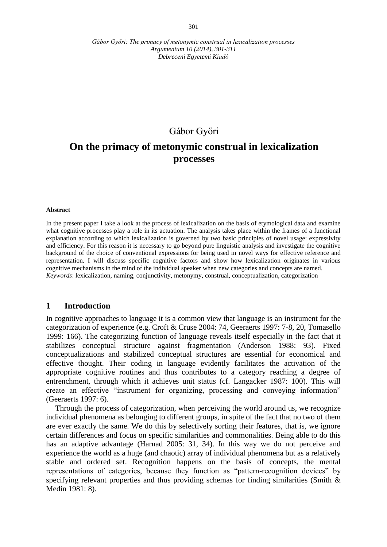*Debreceni Egyetemi Kiadó*

## Gábor Győri

# **On the primacy of metonymic construal in lexicalization processes**

#### **Abstract**

In the present paper I take a look at the process of lexicalization on the basis of etymological data and examine what cognitive processes play a role in its actuation. The analysis takes place within the frames of a functional explanation according to which lexicalization is governed by two basic principles of novel usage: expressivity and efficiency. For this reason it is necessary to go beyond pure linguistic analysis and investigate the cognitive background of the choice of conventional expressions for being used in novel ways for effective reference and representation. I will discuss specific cognitive factors and show how lexicalization originates in various cognitive mechanisms in the mind of the individual speaker when new categories and concepts are named. *Keywords*: lexicalization, naming, conjunctivity, metonymy, construal, conceptualization, categorization

## **1 Introduction**

In cognitive approaches to language it is a common view that language is an instrument for the categorization of experience (e.g. Croft & Cruse 2004: 74, Geeraerts 1997: 7-8, 20, Tomasello 1999: 166). The categorizing function of language reveals itself especially in the fact that it stabilizes conceptual structure against fragmentation (Anderson 1988: 93). Fixed conceptualizations and stabilized conceptual structures are essential for economical and effective thought. Their coding in language evidently facilitates the activation of the appropriate cognitive routines and thus contributes to a category reaching a degree of entrenchment, through which it achieves unit status (cf. Langacker 1987: 100). This will create an effective "instrument for organizing, processing and conveying information" (Geeraerts 1997: 6).

Through the process of categorization, when perceiving the world around us, we recognize individual phenomena as belonging to different groups, in spite of the fact that no two of them are ever exactly the same. We do this by selectively sorting their features, that is, we ignore certain differences and focus on specific similarities and commonalities. Being able to do this has an adaptive advantage (Harnad 2005: 31, 34). In this way we do not perceive and experience the world as a huge (and chaotic) array of individual phenomena but as a relatively stable and ordered set. Recognition happens on the basis of concepts, the mental representations of categories, because they function as "pattern-recognition devices" by specifying relevant properties and thus providing schemas for finding similarities (Smith  $\&$ Medin 1981: 8).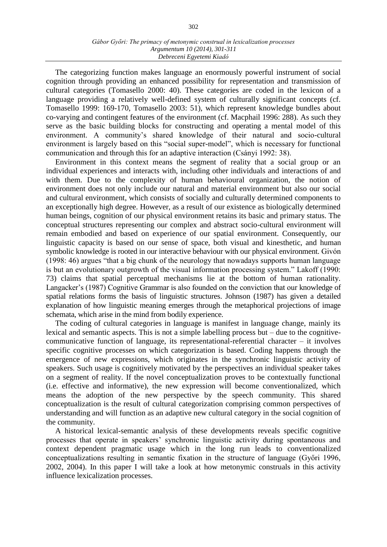#### *Gábor Győri: The primacy of metonymic construal in lexicalization processes Argumentum 10 (2014), 301-311 Debreceni Egyetemi Kiadó*

The categorizing function makes language an enormously powerful instrument of social cognition through providing an enhanced possibility for representation and transmission of cultural categories (Tomasello 2000: 40). These categories are coded in the lexicon of a language providing a relatively well-defined system of culturally significant concepts (cf. Tomasello 1999: 169-170, Tomasello 2003: 51), which represent knowledge bundles about co-varying and contingent features of the environment (cf. Macphail 1996: 288). As such they serve as the basic building blocks for constructing and operating a mental model of this environment. A community's shared knowledge of their natural and socio-cultural environment is largely based on this "social super-model", which is necessary for functional communication and through this for an adaptive interaction (Csányi 1992: 38).

Environment in this context means the segment of reality that a social group or an individual experiences and interacts with, including other individuals and interactions of and with them. Due to the complexity of human behavioural organization, the notion of environment does not only include our natural and material environment but also our social and cultural environment, which consists of socially and culturally determined components to an exceptionally high degree. However, as a result of our existence as biologically determined human beings, cognition of our physical environment retains its basic and primary status. The conceptual structures representing our complex and abstract socio-cultural environment will remain embodied and based on experience of our spatial environment. Consequently, our linguistic capacity is based on our sense of space, both visual and kinesthetic, and human symbolic knowledge is rooted in our interactive behaviour with our physical environment. Givón (1998: 46) argues "that a big chunk of the neurology that nowadays supports human language is but an evolutionary outgrowth of the visual information processing system." Lakoff (1990: 73) claims that spatial perceptual mechanisms lie at the bottom of human rationality. Langacker's (1987) Cognitive Grammar is also founded on the conviction that our knowledge of spatial relations forms the basis of linguistic structures. Johnson (1987) has given a detailed explanation of how linguistic meaning emerges through the metaphorical projections of image schemata, which arise in the mind from bodily experience.

The coding of cultural categories in language is manifest in language change, mainly its lexical and semantic aspects. This is not a simple labelling process but – due to the cognitivecommunicative function of language, its representational-referential character – it involves specific cognitive processes on which categorization is based. Coding happens through the emergence of new expressions, which originates in the synchronic linguistic activity of speakers. Such usage is cognitively motivated by the perspectives an individual speaker takes on a segment of reality. If the novel conceptualization proves to be contextually functional (i.e. effective and informative), the new expression will become conventionalized, which means the adoption of the new perspective by the speech community. This shared conceptualization is the result of cultural categorization comprising common perspectives of understanding and will function as an adaptive new cultural category in the social cognition of the community.

A historical lexical-semantic analysis of these developments reveals specific cognitive processes that operate in speakers' synchronic linguistic activity during spontaneous and context dependent pragmatic usage which in the long run leads to conventionalized conceptualizations resulting in semantic fixation in the structure of language (Győri 1996, 2002, 2004). In this paper I will take a look at how metonymic construals in this activity influence lexicalization processes.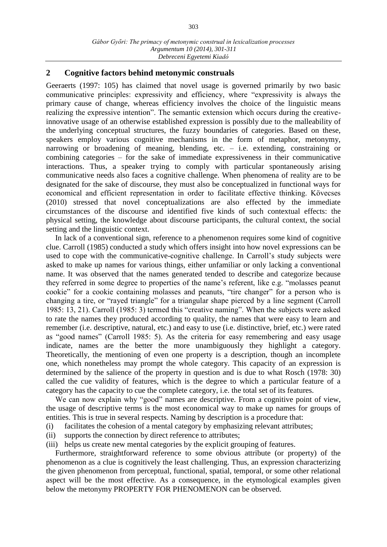## **2 Cognitive factors behind metonymic construals**

Geeraerts (1997: 105) has claimed that novel usage is governed primarily by two basic communicative principles: expressivity and efficiency, where "expressivity is always the primary cause of change, whereas efficiency involves the choice of the linguistic means realizing the expressive intention". The semantic extension which occurs during the creativeinnovative usage of an otherwise established expression is possibly due to the malleability of the underlying conceptual structures, the fuzzy boundaries of categories. Based on these, speakers employ various cognitive mechanisms in the form of metaphor, metonymy, narrowing or broadening of meaning, blending, etc. – i.e. extending, constraining or combining categories – for the sake of immediate expressiveness in their communicative interactions. Thus, a speaker trying to comply with particular spontaneously arising communicative needs also faces a cognitive challenge. When phenomena of reality are to be designated for the sake of discourse, they must also be conceptualized in functional ways for economical and efficient representation in order to facilitate effective thinking. Kövecses (2010) stressed that novel conceptualizations are also effected by the immediate circumstances of the discourse and identified five kinds of such contextual effects: the physical setting, the knowledge about discourse participants, the cultural context, the social setting and the linguistic context.

In lack of a conventional sign, reference to a phenomenon requires some kind of cognitive clue. Carroll (1985) conducted a study which offers insight into how novel expressions can be used to cope with the communicative-cognitive challenge. In Carroll's study subjects were asked to make up names for various things, either unfamiliar or only lacking a conventional name. It was observed that the names generated tended to describe and categorize because they referred in some degree to properties of the name's referent, like e.g. "molasses peanut cookie" for a cookie containing molasses and peanuts, "tire changer" for a person who is changing a tire, or "rayed triangle" for a triangular shape pierced by a line segment (Carroll 1985: 13, 21). Carroll (1985: 3) termed this "creative naming". When the subjects were asked to rate the names they produced according to quality, the names that were easy to learn and remember (i.e. descriptive, natural, etc.) and easy to use (i.e. distinctive, brief, etc.) were rated as "good names" (Carroll 1985: 5). As the criteria for easy remembering and easy usage indicate, names are the better the more unambiguously they highlight a category. Theoretically, the mentioning of even one property is a description, though an incomplete one, which nonetheless may prompt the whole category. This capacity of an expression is determined by the salience of the property in question and is due to what Rosch (1978: 30) called the cue validity of features, which is the degree to which a particular feature of a category has the capacity to cue the complete category, i.e. the total set of its features.

We can now explain why "good" names are descriptive. From a cognitive point of view, the usage of descriptive terms is the most economical way to make up names for groups of entities. This is true in several respects. Naming by description is a procedure that:

- (i) facilitates the cohesion of a mental category by emphasizing relevant attributes;
- (ii) supports the connection by direct reference to attributes;
- (iii) helps us create new mental categories by the explicit grouping of features.

Furthermore, straightforward reference to some obvious attribute (or property) of the phenomenon as a clue is cognitively the least challenging. Thus, an expression characterizing the given phenomenon from perceptual, functional, spatial, temporal, or some other relational aspect will be the most effective. As a consequence, in the etymological examples given below the metonymy PROPERTY FOR PHENOMENON can be observed.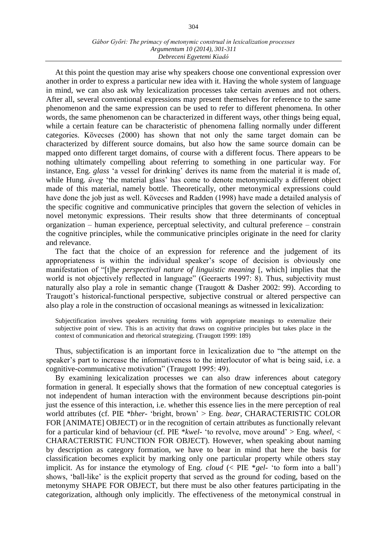#### *Gábor Győri: The primacy of metonymic construal in lexicalization processes Argumentum 10 (2014), 301-311 Debreceni Egyetemi Kiadó*

At this point the question may arise why speakers choose one conventional expression over another in order to express a particular new idea with it. Having the whole system of language in mind, we can also ask why lexicalization processes take certain avenues and not others. After all, several conventional expressions may present themselves for reference to the same phenomenon and the same expression can be used to refer to different phenomena. In other words, the same phenomenon can be characterized in different ways, other things being equal, while a certain feature can be characteristic of phenomena falling normally under different categories. Kövecses (2000) has shown that not only the same target domain can be characterized by different source domains, but also how the same source domain can be mapped onto different target domains, of course with a different focus. There appears to be nothing ultimately compelling about referring to something in one particular way. For instance, Eng. *glass* 'a vessel for drinking' derives its name from the material it is made of, while Hung. *üveg* 'the material glass' has come to denote metonymically a different object made of this material, namely bottle. Theoretically, other metonymical expressions could have done the job just as well. Kövecses and Radden (1998) have made a detailed analysis of the specific cognitive and communicative principles that govern the selection of vehicles in novel metonymic expressions. Their results show that three determinants of conceptual organization – human experience, perceptual selectivity, and cultural preference – constrain the cognitive principles, while the communicative principles originate in the need for clarity and relevance.

The fact that the choice of an expression for reference and the judgement of its appropriateness is within the individual speaker's scope of decision is obviously one manifestation of "[t]he *perspectival nature of linguistic meaning* [, which] implies that the world is not objectively reflected in language" (Geeraerts 1997: 8). Thus, subjectivity must naturally also play a role in semantic change (Traugott & Dasher 2002: 99). According to Traugott's historical-functional perspective, subjective construal or altered perspective can also play a role in the construction of occasional meanings as witnessed in lexicalization:

Subjectification involves speakers recruiting forms with appropriate meanings to externalize their subjective point of view. This is an activity that draws on cognitive principles but takes place in the context of communication and rhetorical strategizing. (Traugott 1999: 189)

Thus, subjectification is an important force in lexicalization due to "the attempt on the speaker's part to increase the informativeness to the interlocutor of what is being said, i.e. a cognitive-communicative motivation" (Traugott 1995: 49).

By examining lexicalization processes we can also draw inferences about category formation in general. It especially shows that the formation of new conceptual categories is not independent of human interaction with the environment because descriptions pin-point just the essence of this interaction, i.e. whether this essence lies in the mere perception of real world attributes (cf. PIE *\*bher-* 'bright, brown' > Eng. *bear*, CHARACTERISTIC COLOR FOR [ANIMATE] OBJECT) or in the recognition of certain attributes as functionally relevant for a particular kind of behaviour (cf. PIE \**kwel-* 'to revolve, move around' > Eng. w*heel*, < CHARACTERISTIC FUNCTION FOR OBJECT). However, when speaking about naming by description as category formation, we have to bear in mind that here the basis for classification becomes explicit by marking only one particular property while others stay implicit. As for instance the etymology of Eng. *cloud* (< PIE \**gel-* 'to form into a ball') shows, 'ball-like' is the explicit property that served as the ground for coding, based on the metonymy SHAPE FOR OBJECT, but there must be also other features participating in the categorization, although only implicitly. The effectiveness of the metonymical construal in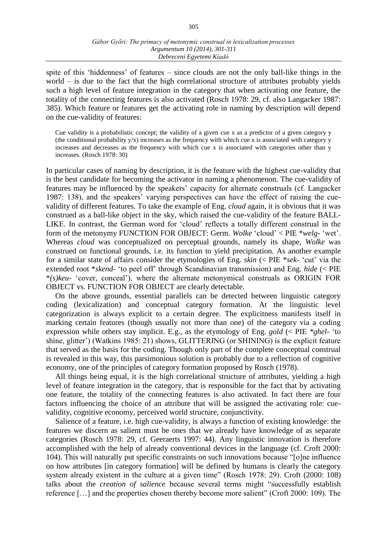spite of this 'hiddenness' of features – since clouds are not the only ball-like things in the world – is due to the fact that the high correlational structure of attributes probably yields such a high level of feature integration in the category that when activating one feature, the totality of the connecting features is also activated (Rosch 1978: 29, cf. also Langacker 1987: 385). Which feature or features get the activating role in naming by description will depend on the cue-validity of features:

Cue validity is a probabilistic concept; the validity of a given cue x as a predictor of a given category y (the conditional probability  $y/x$ ) increases as the frequency with which cue x is associated with category y increases and decreases as the frequency with which cue x is associated with categories other than y increases. (Rosch 1978: 30)

In particular cases of naming by description, it is the feature with the highest cue-validity that is the best candidate for becoming the activator in naming a phenomenon. The cue-validity of features may be influenced by the speakers' capacity for alternate construals (cf. Langacker 1987: 138), and the speakers' varying perspectives can have the effect of raising the cuevalidity of different features. To take the example of Eng. *cloud* again, it is obvious that it was construed as a ball-like object in the sky, which raised the cue-validity of the feature BALL-LIKE. In contrast, the German word for 'cloud' reflects a totally different construal in the form of the metonymy FUNCTION FOR OBJECT: Germ. *Wolke* 'cloud' < PIE \**welg-* 'wet'. Whereas *cloud* was conceptualized on perceptual grounds, namely its shape, *Wolke* was construed on functional grounds, i.e. its function to yield precipitation. As another example for a similar state of affairs consider the etymologies of Eng. *skin* (< PIE \**sek-* 'cut' via the extended root \**skend-* 'to peel off' through Scandinavian transmission) and Eng. *hide* (< PIE \**(s)keu-* 'cover, conceal'), where the alternate metonymical construals as ORIGIN FOR OBJECT vs. FUNCTION FOR OBJECT are clearly detectable.

On the above grounds, essential parallels can be detected between linguistic category coding (lexicalization) and conceptual category formation. At the linguistic level categorization is always explicit to a certain degree. The explicitness manifests itself in marking certain features (though usually not more than one) of the category via a coding expression while others stay implicit. E.g., as the etymology of Eng. *gold* (< PIE *\*ghel-* 'to shine, glitter') (Watkins 1985: 21) shows, GLITTERING (or SHINING) is the explicit feature that served as the basis for the coding. Though only part of the complete conceptual construal is revealed in this way, this parsimonious solution is probably due to a reflection of cognitive economy, one of the principles of category formation proposed by Rosch (1978).

All things being equal, it is the high correlational structure of attributes, yielding a high level of feature integration in the category, that is responsible for the fact that by activating one feature, the totality of the connecting features is also activated. In fact there are four factors influencing the choice of an attribute that will be assigned the activating role: cuevalidity, cognitive economy, perceived world structure, conjunctivity.

Salience of a feature, i.e. high cue-validity, is always a function of existing knowledge: the features we discern as salient must be ones that we already have knowledge of as separate categories (Rosch 1978: 29, cf. Geeraerts 1997: 44). Any linguistic innovation is therefore accomplished with the help of already conventional devices in the language (cf. Croft 2000: 104). This will naturally put specific constraints on such innovations because "[o]ne influence on how attributes [in category formation] will be defined by humans is clearly the category system already existent in the culture at a given time" (Rosch 1978: 29). Croft (2000: 108) talks about the *creation of salience* because several terms might "successfully establish reference […] and the properties chosen thereby become more salient" (Croft 2000: 109). The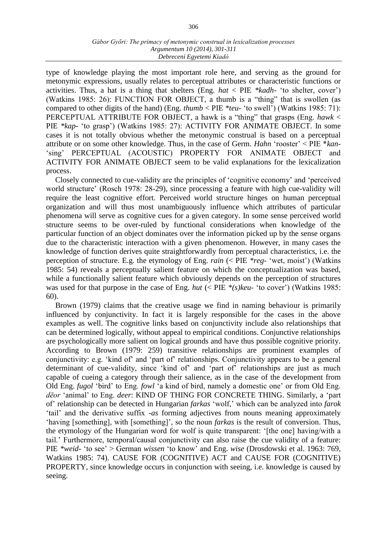#### *Gábor Győri: The primacy of metonymic construal in lexicalization processes Argumentum 10 (2014), 301-311 Debreceni Egyetemi Kiadó*

type of knowledge playing the most important role here, and serving as the ground for metonymic expressions, usually relates to perceptual attributes or characteristic functions or activities. Thus, a hat is a thing that shelters (Eng. *hat* < PIE *\*kadh-* 'to shelter, cover') (Watkins 1985: 26): FUNCTION FOR OBJECT, a thumb is a "thing" that is swollen (as compared to other digits of the hand) (Eng. *thumb* < PIE *\*teu-* 'to swell') (Watkins 1985: 71): PERCEPTUAL ATTRIBUTE FOR OBJECT, a hawk is a "thing" that grasps (Eng. *hawk* < PIE *\*kap-* 'to grasp') (Watkins 1985: 27): ACTIVITY FOR ANIMATE OBJECT. In some cases it is not totally obvious whether the metonymic construal is based on a perceptual attribute or on some other knowledge. Thus, in the case of Germ. *Hahn* 'rooster' < PIE \**kan-* 'sing' PERCEPTUAL (ACOUSTIC) PROPERTY FOR ANIMATE OBJECT and ACTIVITY FOR ANIMATE OBJECT seem to be valid explanations for the lexicalization process.

Closely connected to cue-validity are the principles of 'cognitive economy' and 'perceived world structure' (Rosch 1978: 28-29), since processing a feature with high cue-validity will require the least cognitive effort. Perceived world structure hinges on human perceptual organization and will thus most unambiguously influence which attributes of particular phenomena will serve as cognitive cues for a given category. In some sense perceived world structure seems to be over-ruled by functional considerations when knowledge of the particular function of an object dominates over the information picked up by the sense organs due to the characteristic interaction with a given phenomenon. However, in many cases the knowledge of function derives quite straightforwardly from perceptual characteristics, i.e. the perception of structure. E.g. the etymology of Eng. *rain* (< PIE *\*reg-* 'wet, moist') (Watkins 1985: 54) reveals a perceptually salient feature on which the conceptualization was based, while a functionally salient feature which obviously depends on the perception of structures was used for that purpose in the case of Eng. *hut* (< PIE *\*(s)keu-* 'to cover') (Watkins 1985: 60).

Brown (1979) claims that the creative usage we find in naming behaviour is primarily influenced by conjunctivity. In fact it is largely responsible for the cases in the above examples as well. The cognitive links based on conjunctivity include also relationships that can be determined logically, without appeal to empirical conditions. Conjunctive relationships are psychologically more salient on logical grounds and have thus possible cognitive priority. According to Brown (1979: 259) transitive relationships are prominent examples of conjunctivity: e.g. 'kind of' and 'part of' relationships. Conjunctivity appears to be a general determinant of cue-validity, since 'kind of' and 'part of' relationships are just as much capable of cueing a category through their salience, as in the case of the development from Old Eng. *fugol* 'bird' to Eng. *fowl* 'a kind of bird, namely a domestic one' or from Old Eng. *dēor* 'animal' to Eng. *deer*: KIND OF THING FOR CONCRETE THING. Similarly, a 'part of' relationship can be detected in Hungarian *farkas* 'wolf,' which can be analyzed into *farok* 'tail' and the derivative suffix *-as* forming adjectives from nouns meaning approximately 'having [something], with [something]', so the noun *farkas* is the result of conversion. Thus, the etymology of the Hungarian word for wolf is quite transparent: '[the one] having/with a tail.' Furthermore, temporal/causal conjunctivity can also raise the cue validity of a feature: PIE *\*weid-* 'to see' > German *wissen* 'to know' and Eng. *wise* (Drosdowski et al. 1963: 769, Watkins 1985: 74). CAUSE FOR (COGNITIVE) ACT and CAUSE FOR (COGNITIVE) PROPERTY, since knowledge occurs in conjunction with seeing, i.e. knowledge is caused by seeing.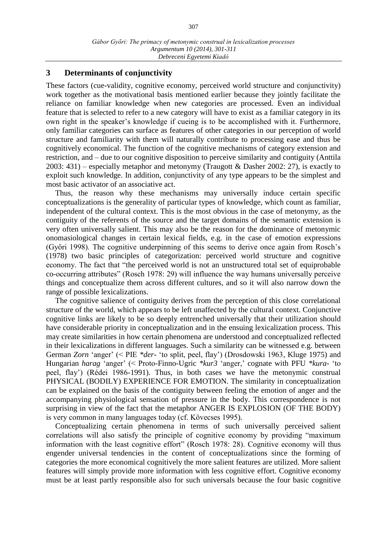## **3 Determinants of conjunctivity**

These factors (cue-validity, cognitive economy, perceived world structure and conjunctivity) work together as the motivational basis mentioned earlier because they jointly facilitate the reliance on familiar knowledge when new categories are processed. Even an individual feature that is selected to refer to a new category will have to exist as a familiar category in its own right in the speaker's knowledge if cueing is to be accomplished with it. Furthermore, only familiar categories can surface as features of other categories in our perception of world structure and familiarity with them will naturally contribute to processing ease and thus be cognitively economical. The function of the cognitive mechanisms of category extension and restriction, and – due to our cognitive disposition to perceive similarity and contiguity (Anttila 2003: 431) – especially metaphor and metonymy (Traugott & Dasher 2002: 27), is exactly to exploit such knowledge. In addition, conjunctivity of any type appears to be the simplest and most basic activator of an associative act.

Thus, the reason why these mechanisms may universally induce certain specific conceptualizations is the generality of particular types of knowledge, which count as familiar, independent of the cultural context. This is the most obvious in the case of metonymy, as the contiguity of the referents of the source and the target domains of the semantic extension is very often universally salient. This may also be the reason for the dominance of metonymic onomasiological changes in certain lexical fields, e.g. in the case of emotion expressions (Győri 1998). The cognitive underpinning of this seems to derive once again from Rosch's (1978) two basic principles of categorization: perceived world structure and cognitive economy. The fact that "the perceived world is not an unstructured total set of equiprobable co-occurring attributes" (Rosch 1978: 29) will influence the way humans universally perceive things and conceptualize them across different cultures, and so it will also narrow down the range of possible lexicalizations.

The cognitive salience of contiguity derives from the perception of this close correlational structure of the world, which appears to be left unaffected by the cultural context. Conjunctive cognitive links are likely to be so deeply entrenched universally that their utilization should have considerable priority in conceptualization and in the ensuing lexicalization process. This may create similarities in how certain phenomena are understood and conceptualized reflected in their lexicalizations in different languages. Such a similarity can be witnessed e.g. between German *Zorn* 'anger' (< PIE *\*der-* 'to split, peel, flay') (Drosdowski 1963, Kluge 1975) and Hungarian *harag* 'anger' (< Proto-Finno-Ugric *\*kur3* 'anger,' cognate with PFU *\*kura-* 'to peel, flay') (Rédei 1986-1991). Thus, in both cases we have the metonymic construal PHYSICAL (BODILY) EXPERIENCE FOR EMOTION. The similarity in conceptualization can be explained on the basis of the contiguity between feeling the emotion of anger and the accompanying physiological sensation of pressure in the body. This correspondence is not surprising in view of the fact that the metaphor ANGER IS EXPLOSION (OF THE BODY) is very common in many languages today (cf. Kövecses 1995).

Conceptualizing certain phenomena in terms of such universally perceived salient correlations will also satisfy the principle of cognitive economy by providing "maximum information with the least cognitive effort" (Rosch 1978: 28). Cognitive economy will thus engender universal tendencies in the content of conceptualizations since the forming of categories the more economical cognitively the more salient features are utilized. More salient features will simply provide more information with less cognitive effort. Cognitive economy must be at least partly responsible also for such universals because the four basic cognitive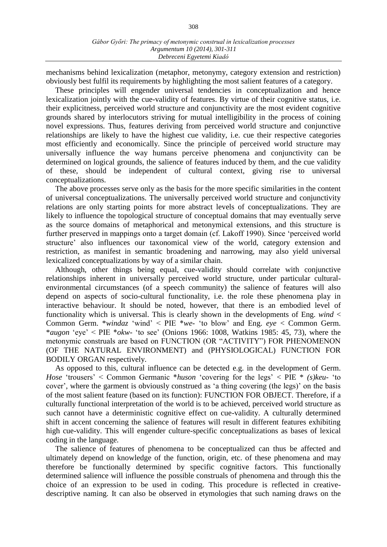mechanisms behind lexicalization (metaphor, metonymy, category extension and restriction) obviously best fulfil its requirements by highlighting the most salient features of a category.

These principles will engender universal tendencies in conceptualization and hence lexicalization jointly with the cue-validity of features. By virtue of their cognitive status, i.e. their explicitness, perceived world structure and conjunctivity are the most evident cognitive grounds shared by interlocutors striving for mutual intelligibility in the process of coining novel expressions. Thus, features deriving from perceived world structure and conjunctive relationships are likely to have the highest cue validity, i.e. cue their respective categories most efficiently and economically. Since the principle of perceived world structure may universally influence the way humans perceive phenomena and conjunctivity can be determined on logical grounds, the salience of features induced by them, and the cue validity of these, should be independent of cultural context, giving rise to universal conceptualizations.

The above processes serve only as the basis for the more specific similarities in the content of universal conceptualizations. The universally perceived world structure and conjunctivity relations are only starting points for more abstract levels of conceptualizations. They are likely to influence the topological structure of conceptual domains that may eventually serve as the source domains of metaphorical and metonymical extensions, and this structure is further preserved in mappings onto a target domain (cf. Lakoff 1990). Since 'perceived world structure' also influences our taxonomical view of the world, category extension and restriction, as manifest in semantic broadening and narrowing, may also yield universal lexicalized conceptualizations by way of a similar chain.

Although, other things being equal, cue-validity should correlate with conjunctive relationships inherent in universally perceived world structure, under particular culturalenvironmental circumstances (of a speech community) the salience of features will also depend on aspects of socio-cultural functionality, i.e. the role these phenomena play in interactive behaviour. It should be noted, however, that there is an embodied level of functionality which is universal. This is clearly shown in the developments of Eng. *wind* < Common Germ. \**windaz* 'wind' < PIE \**we-* 'to blow' and Eng. *eye* < Common Germ. \**augon* 'eye' < PIE \**okw-* 'to see' (Onions 1966: 1008, Watkins 1985: 45, 73), where the metonymic construals are based on FUNCTION (OR "ACTIVITY") FOR PHENOMENON (OF THE NATURAL ENVIRONMENT) and (PHYSIOLOGICAL) FUNCTION FOR BODILY ORGAN respectively.

As opposed to this, cultural influence can be detected e.g. in the development of Germ. *Hose* 'trousers' < Common Germanic \**huson* 'covering for the legs' < PIE \* *(s)keu-* 'to cover', where the garment is obviously construed as 'a thing covering (the legs)' on the basis of the most salient feature (based on its function): FUNCTION FOR OBJECT. Therefore, if a culturally functional interpretation of the world is to be achieved, perceived world structure as such cannot have a deterministic cognitive effect on cue-validity. A culturally determined shift in accent concerning the salience of features will result in different features exhibiting high cue-validity. This will engender culture-specific conceptualizations as bases of lexical coding in the language.

The salience of features of phenomena to be conceptualized can thus be affected and ultimately depend on knowledge of the function, origin, etc. of these phenomena and may therefore be functionally determined by specific cognitive factors. This functionally determined salience will influence the possible construals of phenomena and through this the choice of an expression to be used in coding. This procedure is reflected in creativedescriptive naming. It can also be observed in etymologies that such naming draws on the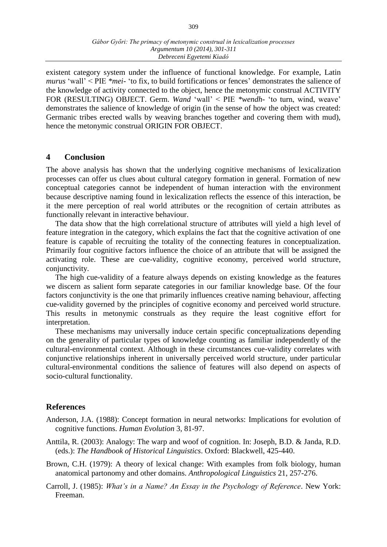existent category system under the influence of functional knowledge. For example, Latin *murus* 'wall' < PIE *\*mei-* 'to fix, to build fortifications or fences' demonstrates the salience of the knowledge of activity connected to the object, hence the metonymic construal ACTIVITY FOR (RESULTING) OBJECT. Germ. *Wand* 'wall' < PIE *\*wendh-* 'to turn, wind, weave' demonstrates the salience of knowledge of origin (in the sense of how the object was created: Germanic tribes erected walls by weaving branches together and covering them with mud), hence the metonymic construal ORIGIN FOR OBJECT.

## **4 Conclusion**

The above analysis has shown that the underlying cognitive mechanisms of lexicalization processes can offer us clues about cultural category formation in general. Formation of new conceptual categories cannot be independent of human interaction with the environment because descriptive naming found in lexicalization reflects the essence of this interaction, be it the mere perception of real world attributes or the recognition of certain attributes as functionally relevant in interactive behaviour.

The data show that the high correlational structure of attributes will yield a high level of feature integration in the category, which explains the fact that the cognitive activation of one feature is capable of recruiting the totality of the connecting features in conceptualization. Primarily four cognitive factors influence the choice of an attribute that will be assigned the activating role. These are cue-validity, cognitive economy, perceived world structure, conjunctivity.

The high cue-validity of a feature always depends on existing knowledge as the features we discern as salient form separate categories in our familiar knowledge base. Of the four factors conjunctivity is the one that primarily influences creative naming behaviour, affecting cue-validity governed by the principles of cognitive economy and perceived world structure. This results in metonymic construals as they require the least cognitive effort for interpretation.

These mechanisms may universally induce certain specific conceptualizations depending on the generality of particular types of knowledge counting as familiar independently of the cultural-environmental context. Although in these circumstances cue-validity correlates with conjunctive relationships inherent in universally perceived world structure, under particular cultural-environmental conditions the salience of features will also depend on aspects of socio-cultural functionality.

## **References**

- Anderson, J.A. (1988): Concept formation in neural networks: Implications for evolution of cognitive functions. *Human Evolution* 3, 81-97.
- Anttila, R. (2003): Analogy: The warp and woof of cognition. In: Joseph, B.D. & Janda, R.D. (eds.): *The Handbook of Historical Linguistics*. Oxford: Blackwell, 425-440.
- Brown, C.H. (1979): A theory of lexical change: With examples from folk biology, human anatomical partonomy and other domains. *Anthropological Linguistics* 21, 257-276.
- Carroll, J. (1985): *What's in a Name? An Essay in the Psychology of Reference*. New York: Freeman.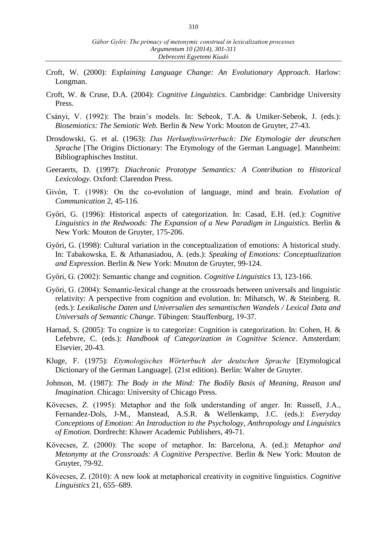- Croft, W. (2000): *Explaining Language Change: An Evolutionary Approach*. Harlow: Longman.
- Croft, W. & Cruse, D.A. (2004): *Cognitive Linguistics*. Cambridge: Cambridge University Press.
- Csányi, V. (1992): The brain's models. In: Sebeok, T.A. & Umiker-Sebeok, J. (eds.): *Biosemiotics: The Semiotic Web.* Berlin & New York: Mouton de Gruyter, 27-43.
- Drosdowski, G. et al. (1963): *Das Herkunftswörterbuch: Die Etymologie der deutschen Sprache* [The Origins Dictionary: The Etymology of the German Language]. Mannheim: Bibliographisches Institut.
- Geeraerts, D. (1997): *Diachronic Prototype Semantics: A Contribution to Historical Lexicology*. Oxford: Clarendon Press.
- Givón, T. (1998): On the co-evolution of language, mind and brain. *Evolution of Communication* 2, 45-116.
- Győri, G. (1996): Historical aspects of categorization. In: Casad, E.H. (ed.): *Cognitive Linguistics in the Redwoods: The Expansion of a New Paradigm in Linguistics.* Berlin & New York: Mouton de Gruyter, 175-206.
- Győri, G. (1998): Cultural variation in the conceptualization of emotions: A historical study. In: Tabakowska, E. & Athanasiadou, A. (eds.): *Speaking of Emotions: Conceptualization and Expression.* Berlin & New York: Mouton de Gruyter, 99-124.
- Győri, G. (2002): Semantic change and cognition. *Cognitive Linguistics* 13, 123-166.
- Győri, G. (2004): Semantic-lexical change at the crossroads between universals and linguistic relativity: A perspective from cognition and evolution. In: Mihatsch, W. & Steinberg. R. (eds.): *Lexikalische Daten und Universalien des semantischen Wandels / Lexical Data and Universals of Semantic Change*. Tübingen: Stauffenburg, 19-37.
- Harnad, S. (2005): To cognize is to categorize: Cognition is categorization. In: Cohen, H. & Lefebvre, C. (eds.): *Handbook of Categorization in Cognitive Science*. Amsterdam: Elsevier, 20-43.
- Kluge, F. (1975): *Etymologisches Wörterbuch der deutschen Sprache* [Etymological Dictionary of the German Language]. (21st edition). Berlin: Walter de Gruyter.
- Johnson, M. (1987): *The Body in the Mind: The Bodily Basis of Meaning, Reason and Imagination*. Chicago: University of Chicago Press.
- Kövecses, Z. (1995): Metaphor and the folk understanding of anger. In: Russell, J.A., Fernandez-Dols, J-M., Manstead, A.S.R. & Wellenkamp, J.C. (eds.): *Everyday Conceptions of Emotion: An Introduction to the Psychology, Anthropology and Linguistics of Emotion*. Dordrecht: Kluwer Academic Publishers, 49-71.
- Kövecses, Z. (2000): The scope of metaphor. In: Barcelona, A. (ed.): *Metaphor and Metonymy at the Crossroads: A Cognitive Perspective*. Berlin & New York: Mouton de Gruyter, 79-92.
- Kövecses, Z. (2010): A new look at metaphorical creativity in cognitive linguistics. *Cognitive Linguistics* 21, 655–689.